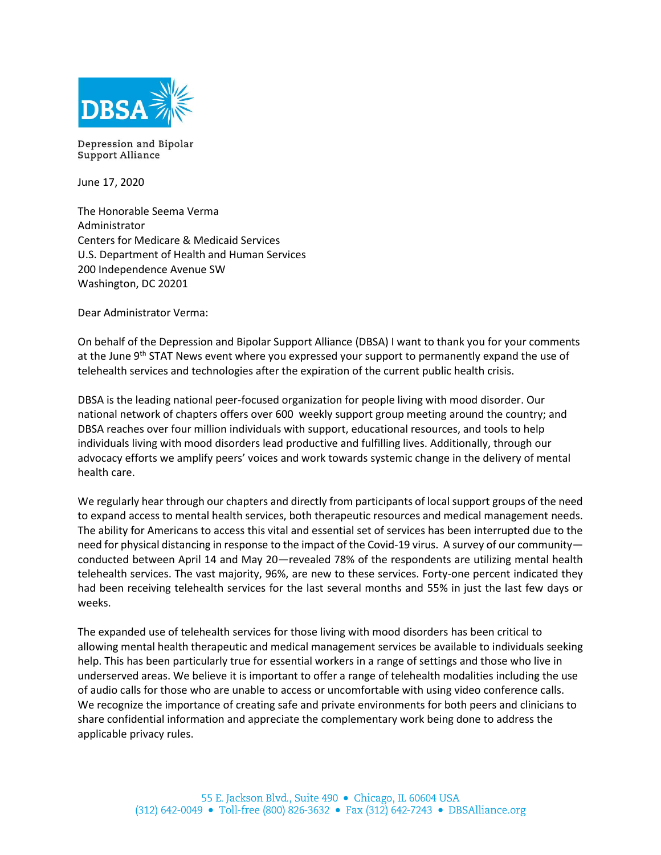

Depression and Bipolar Support Alliance

June 17, 2020

The Honorable Seema Verma Administrator Centers for Medicare & Medicaid Services U.S. Department of Health and Human Services 200 Independence Avenue SW Washington, DC 20201

Dear Administrator Verma:

On behalf of the Depression and Bipolar Support Alliance (DBSA) I want to thank you for your comments at the June  $9<sup>th</sup>$  STAT News event where you expressed your support to permanently expand the use of telehealth services and technologies after the expiration of the current public health crisis.

DBSA is the leading national peer-focused organization for people living with mood disorder. Our national network of chapters offers over 600 weekly support group meeting around the country; and DBSA reaches over four million individuals with support, educational resources, and tools to help individuals living with mood disorders lead productive and fulfilling lives. Additionally, through our advocacy efforts we amplify peers' voices and work towards systemic change in the delivery of mental health care.

We regularly hear through our chapters and directly from participants of local support groups of the need to expand access to mental health services, both therapeutic resources and medical management needs. The ability for Americans to access this vital and essential set of services has been interrupted due to the need for physical distancing in response to the impact of the Covid-19 virus. A survey of our community conducted between April 14 and May 20—revealed 78% of the respondents are utilizing mental health telehealth services. The vast majority, 96%, are new to these services. Forty-one percent indicated they had been receiving telehealth services for the last several months and 55% in just the last few days or weeks.

The expanded use of telehealth services for those living with mood disorders has been critical to allowing mental health therapeutic and medical management services be available to individuals seeking help. This has been particularly true for essential workers in a range of settings and those who live in underserved areas. We believe it is important to offer a range of telehealth modalities including the use of audio calls for those who are unable to access or uncomfortable with using video conference calls. We recognize the importance of creating safe and private environments for both peers and clinicians to share confidential information and appreciate the complementary work being done to address the applicable privacy rules.